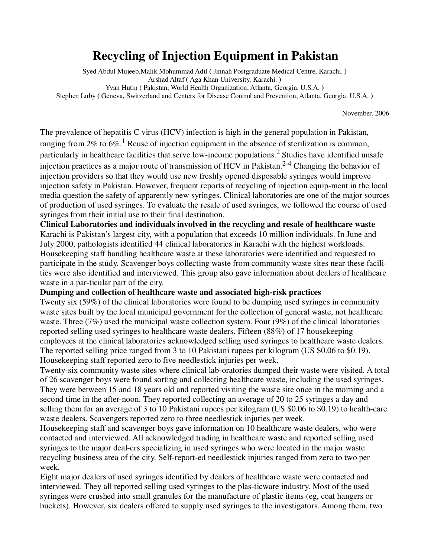## **Recycling of Injection Equipment in Pakistan**

Syed Abdul Mujeeb,Malik Mohummad Adil **(** Jinnah Postgraduate Medical Centre, Karachi. **)**  Arshad Altaf **(** Aga Khan University, Karachi. **)**  Yvan Hutin **(** Pakistan, World Health Organization, Atlanta, Georgia. U.S.A. **)**  Stephen Luby **(** Geneva, Switzerland and Centers for Disease Control and Prevention, Atlanta, Georgia. U.S.A. **)** 

November, 2006

The prevalence of hepatitis C virus (HCV) infection is high in the general population in Pakistan, ranging from 2% to 6%.<sup>1</sup> Reuse of injection equipment in the absence of sterilization is common, particularly in healthcare facilities that serve low-income populations.<sup>2</sup> Studies have identified unsafe injection practices as a major route of transmission of HCV in Pakistan.<sup>2-4</sup> Changing the behavior of injection providers so that they would use new freshly opened disposable syringes would improve injection safety in Pakistan. However, frequent reports of recycling of injection equip-ment in the local media question the safety of apparently new syringes. Clinical laboratories are one of the major sources of production of used syringes. To evaluate the resale of used syringes, we followed the course of used syringes from their initial use to their final destination.

**Clinical Laboratories and individuals involved in the recycling and resale of healthcare waste** Karachi is Pakistan's largest city, with a population that exceeds 10 million individuals. In June and July 2000, pathologists identified 44 clinical laboratories in Karachi with the highest workloads. Housekeeping staff handling healthcare waste at these laboratories were identified and requested to participate in the study. Scavenger boys collecting waste from community waste sites near these facilities were also identified and interviewed. This group also gave information about dealers of healthcare waste in a par-ticular part of the city.

## **Dumping and collection of healthcare waste and associated high-risk practices**

Twenty six (59%) of the clinical laboratories were found to be dumping used syringes in community waste sites built by the local municipal government for the collection of general waste, not healthcare waste. Three (7%) used the municipal waste collection system. Four (9%) of the clinical laboratories reported selling used syringes to healthcare waste dealers. Fifteen (88%) of 17 housekeeping employees at the clinical laboratories acknowledged selling used syringes to healthcare waste dealers. The reported selling price ranged from 3 to 10 Pakistani rupees per kilogram (US \$0.06 to \$0.19). Housekeeping staff reported zero to five needlestick injuries per week.

Twenty-six community waste sites where clinical lab-oratories dumped their waste were visited. A total of 26 scavenger boys were found sorting and collecting healthcare waste, including the used syringes. They were between 15 and 18 years old and reported visiting the waste site once in the morning and a second time in the after-noon. They reported collecting an average of 20 to 25 syringes a day and selling them for an average of 3 to 10 Pakistani rupees per kilogram (US \$0.06 to \$0.19) to health-care waste dealers. Scavengers reported zero to three needlestick injuries per week.

Housekeeping staff and scavenger boys gave information on 10 healthcare waste dealers, who were contacted and interviewed. All acknowledged trading in healthcare waste and reported selling used syringes to the major deal-ers specializing in used syringes who were located in the major waste recycling business area of the city. Self-report-ed needlestick injuries ranged from zero to two per week.

Eight major dealers of used syringes identified by dealers of healthcare waste were contacted and interviewed. They all reported selling used syringes to the plas-ticware industry. Most of the used syringes were crushed into small granules for the manufacture of plastic items (eg, coat hangers or buckets). However, six dealers offered to supply used syringes to the investigators. Among them, two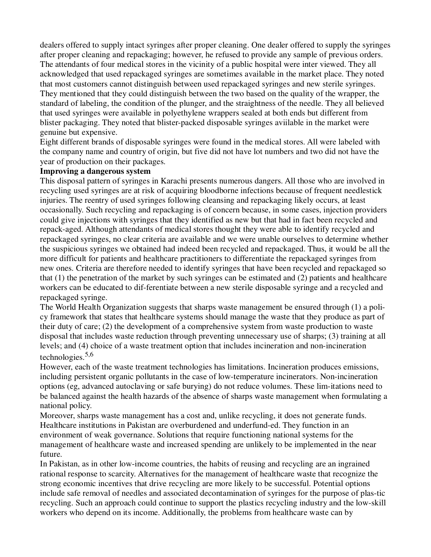dealers offered to supply intact syringes after proper cleaning. One dealer offered to supply the syringes after proper cleaning and repackaging; however, he refused to provide any sample of previous orders. The attendants of four medical stores in the vicinity of a public hospital were inter viewed. They all acknowledged that used repackaged syringes are sometimes available in the market place. They noted that most customers cannot distinguish between used repackaged syringes and new sterile syringes. They mentioned that they could distinguish between the two based on the quality of the wrapper, the standard of labeling, the condition of the plunger, and the straightness of the needle. They all believed that used syringes were available in polyethylene wrappers sealed at both ends but different from blister packaging. They noted that blister-packed disposable syringes aviilable in the market were genuine but expensive.

Eight different brands of disposable syringes were found in the medical stores. All were labeled with the company name and country of origin, but five did not have lot numbers and two did not have the year of production on their packages.

## **Improving a dangerous system**

This disposal pattern of syringes in Karachi presents numerous dangers. All those who are involved in recycling used syringes are at risk of acquiring bloodborne infections because of frequent needlestick injuries. The reentry of used syringes following cleansing and repackaging likely occurs, at least occasionally. Such recycling and repackaging is of concern because, in some cases, injection providers could give injections with syringes that they identified as new but that had in fact been recycled and repack-aged. Although attendants of medical stores thought they were able to identify recycled and repackaged syringes, no clear criteria are available and we were unable ourselves to determine whether the suspicious syringes we obtained had indeed been recycled and repackaged. Thus, it would be all the more difficult for patients and healthcare practitioners to differentiate the repackaged syringes from new ones. Criteria are therefore needed to identify syringes that have been recycled and repackaged so that (1) the penetration of the market by such syringes can be estimated and (2) patients and healthcare workers can be educated to dif-ferentiate between a new sterile disposable syringe and a recycled and repackaged syringe.

The World Health Organization suggests that sharps waste management be ensured through (1) a policy framework that states that healthcare systems should manage the waste that they produce as part of their duty of care; (2) the development of a comprehensive system from waste production to waste disposal that includes waste reduction through preventing unnecessary use of sharps; (3) training at all levels; and (4) choice of a waste treatment option that includes incineration and non-incineration technologies. $5,6$ 

However, each of the waste treatment technologies has limitations. Incineration produces emissions, including persistent organic pollutants in the case of low-temperature incinerators. Non-incineration options (eg, advanced autoclaving or safe burying) do not reduce volumes. These lim-itations need to be balanced against the health hazards of the absence of sharps waste management when formulating a national policy.

Moreover, sharps waste management has a cost and, unlike recycling, it does not generate funds. Healthcare institutions in Pakistan are overburdened and underfund-ed. They function in an environment of weak governance. Solutions that require functioning national systems for the management of healthcare waste and increased spending are unlikely to be implemented in the near future.

In Pakistan, as in other low-income countries, the habits of reusing and recycling are an ingrained rational response to scarcity. Alternatives for the management of healthcare waste that recognize the strong economic incentives that drive recycling are more likely to be successful. Potential options include safe removal of needles and associated decontamination of syringes for the purpose of plas-tic recycling. Such an approach could continue to support the plastics recycling industry and the low-skill workers who depend on its income. Additionally, the problems from healthcare waste can by